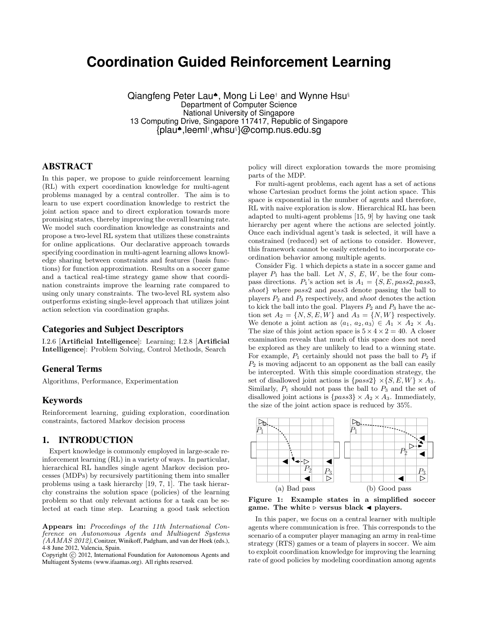# **Coordination Guided Reinforcement Learning**

Qiangfeng Peter Lau♠, Mong Li Lee† and Wynne Hsu§ Department of Computer Science National University of Singapore 13 Computing Drive, Singapore 117417, Republic of Singapore {plau♠,leeml† ,whsu§ }@comp.nus.edu.sg

# ABSTRACT

In this paper, we propose to guide reinforcement learning (RL) with expert coordination knowledge for multi-agent problems managed by a central controller. The aim is to learn to use expert coordination knowledge to restrict the joint action space and to direct exploration towards more promising states, thereby improving the overall learning rate. We model such coordination knowledge as constraints and propose a two-level RL system that utilizes these constraints for online applications. Our declarative approach towards specifying coordination in multi-agent learning allows knowledge sharing between constraints and features (basis functions) for function approximation. Results on a soccer game and a tactical real-time strategy game show that coordination constraints improve the learning rate compared to using only unary constraints. The two-level RL system also outperforms existing single-level approach that utilizes joint action selection via coordination graphs.

#### Categories and Subject Descriptors

I.2.6 [Artificial Intelligence]: Learning; I.2.8 [Artificial Intelligence]: Problem Solving, Control Methods, Search

#### General Terms

Algorithms, Performance, Experimentation

## Keywords

Reinforcement learning, guiding exploration, coordination constraints, factored Markov decision process

## 1. INTRODUCTION

Expert knowledge is commonly employed in large-scale reinforcement learning (RL) in a variety of ways. In particular, hierarchical RL handles single agent Markov decision processes (MDPs) by recursively partitioning them into smaller problems using a task hierarchy [19, 7, 1]. The task hierarchy constrains the solution space (policies) of the learning problem so that only relevant actions for a task can be selected at each time step. Learning a good task selection

Appears in: Proceedings of the 11th International Conference on Autonomous Agents and Multiagent Systems  $(AAMAS 2012)$ , Conitzer, Winikoff, Padgham, and van der Hoek (eds.), 4-8 June 2012, Valencia, Spain.

Copyright (C) 2012, International Foundation for Autonomous Agents and Multiagent Systems (www.ifaamas.org). All rights reserved.

policy will direct exploration towards the more promising parts of the MDP.

For multi-agent problems, each agent has a set of actions whose Cartesian product forms the joint action space. This space is exponential in the number of agents and therefore, RL with naive exploration is slow. Hierarchical RL has been adapted to multi-agent problems [15, 9] by having one task hierarchy per agent where the actions are selected jointly. Once each individual agent's task is selected, it will have a constrained (reduced) set of actions to consider. However, this framework cannot be easily extended to incorporate coordination behavior among multiple agents.

Consider Fig. 1 which depicts a state in a soccer game and player  $P_1$  has the ball. Let  $N, S, E, W$ , be the four compass directions.  $P_1$ 's action set is  $A_1 = \{S, E, pass2, pass3,$ shoot} where pass2 and pass3 denote passing the ball to players  $P_2$  and  $P_3$  respectively, and *shoot* denotes the action to kick the ball into the goal. Players  $P_2$  and  $P_3$  have the action set  $A_2 = \{N, S, E, W\}$  and  $A_3 = \{N, W\}$  respectively. We denote a joint action as  $\langle a_1, a_2, a_3 \rangle \in A_1 \times A_2 \times A_3$ . The size of this joint action space is  $5 \times 4 \times 2 = 40$ . A closer examination reveals that much of this space does not need be explored as they are unlikely to lead to a winning state. For example,  $P_1$  certainly should not pass the ball to  $P_2$  if  $P_2$  is moving adjacent to an opponent as the ball can easily be intercepted. With this simple coordination strategy, the set of disallowed joint actions is  $\{pass2\} \times \{S, E, W\} \times A_3$ . Similarly,  $P_1$  should not pass the ball to  $P_3$  and the set of disallowed joint actions is  $\{pass3\} \times A_2 \times A_3$ . Immediately, the size of the joint action space is reduced by 35%.



Figure 1: Example states in a simplified soccer game. The white  $\triangleright$  versus black  $\triangleleft$  players.

In this paper, we focus on a central learner with multiple agents where communication is free. This corresponds to the scenario of a computer player managing an army in real-time strategy (RTS) games or a team of players in soccer. We aim to exploit coordination knowledge for improving the learning rate of good policies by modeling coordination among agents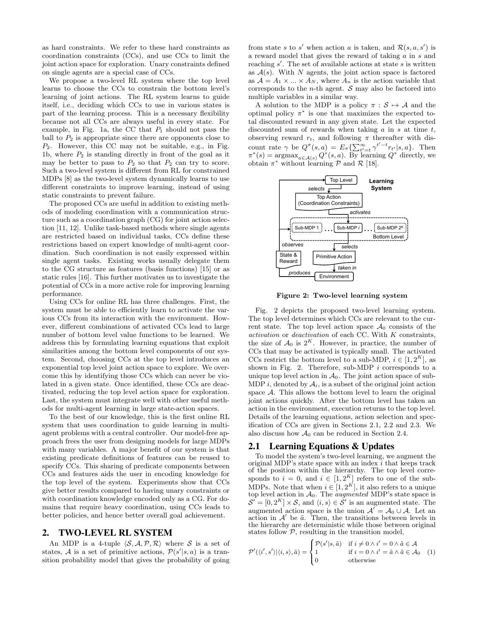as hard constraints. We refer to these hard constraints as coordination constraints (CCs), and use CCs to limit the joint action space for exploration. Unary constraints defined on single agents are a special case of CCs.

We propose a two-level RL system where the top level learns to choose the CCs to constrain the bottom level's learning of joint actions. The RL system learns to guide itself, i.e., deciding which CCs to use in various states is part of the learning process. This is a necessary flexibility because not all CCs are always useful in every state. For example, in Fig. 1a, the CC that  $P_1$  should not pass the ball to  $P_2$  is appropriate since there are opponents close to P2. However, this CC may not be suitable, e.g., in Fig. 1b, where  $P_2$  is standing directly in front of the goal as it may be better to pass to  $P_2$  so that  $P_2$  can try to score. Such a two-level system is different from RL for constrained MDPs [8] as the two-level system dynamically learns to use different constraints to improve learning, instead of using static constraints to prevent failure.

The proposed CCs are useful in addition to existing methods of modeling coordination with a communication structure such as a coordination graph (CG) for joint action selection [11, 12]. Unlike task-based methods where single agents are restricted based on individual tasks, CCs define these restrictions based on expert knowledge of multi-agent coordination. Such coordination is not easily expressed within single agent tasks. Existing works usually delegate them to the CG structure as features (basis functions) [15] or as static rules [16]. This further motivates us to investigate the potential of CCs in a more active role for improving learning performance.

Using CCs for online RL has three challenges. First, the system must be able to efficiently learn to activate the various CCs from its interaction with the environment. However, different combinations of activated CCs lead to large number of bottom level value functions to be learned. We address this by formulating learning equations that exploit similarities among the bottom level components of our system. Second, choosing CCs at the top level introduces an exponential top level joint action space to explore. We overcome this by identifying those CCs which can never be violated in a given state. Once identified, these CCs are deactivated, reducing the top level action space for exploration. Last, the system must integrate well with other useful methods for multi-agent learning in large state-action spaces.

To the best of our knowledge, this is the first online RL system that uses coordination to guide learning in multiagent problems with a central controller. Our model-free approach frees the user from designing models for large MDPs with many variables. A major benefit of our system is that existing predicate definitions of features can be reused to specify CCs. This sharing of predicate components between CCs and features aids the user in encoding knowledge for the top level of the system. Experiments show that CCs give better results compared to having unary constraints or with coordination knowledge encoded only as a CG. For domains that require heavy coordination, using CCs leads to better policies, and hence better overall goal achievement.

## 2. TWO-LEVEL RL SYSTEM

An MDP is a 4-tuple  $\langle S, A, P, R \rangle$  where S is a set of states, A is a set of primitive actions,  $\mathcal{P}(s'|s, a)$  is a transition probability model that gives the probability of going

from state s to s' when action a is taken, and  $\mathcal{R}(s, a, s')$  is a reward model that gives the reward of taking a in s and reaching  $s'$ . The set of available actions at state  $s$  is written as  $A(s)$ . With N agents, the joint action space is factored as  $A = A_1 \times ... \times A_N$ , where  $A_n$  is the action variable that corresponds to the *n*-th agent.  $S$  may also be factored into multiple variables in a similar way.

A solution to the MDP is a policy  $\pi : \mathcal{S} \mapsto \mathcal{A}$  and the optimal policy  $\pi^*$  is one that maximizes the expected total discounted reward in any given state. Let the expected discounted sum of rewards when taking  $a$  in  $s$  at time  $t$ , observing reward  $r_t$ , and following  $\pi$  thereafter with discount rate  $\gamma$  be  $Q^{\pi}(s, a) = E_{\pi} \{ \sum_{t'=t}^{\infty} \gamma^{t'-t} r_{t'} | s, a \}$ . Then  $\pi^*(s) = \operatorname{argmax}_{a \in \mathcal{A}(s)} Q^*(s, a)$ . By learning  $Q^*$  directly, we obtain  $\pi^*$  without learning  $P$  and  $\mathcal{R}$  [18].



Figure 2: Two-level learning system

Fig. 2 depicts the proposed two-level learning system. The top level determines which CCs are relevant to the current state. The top level action space  $\mathcal{A}_0$  consists of the activation or deactivation of each CC. With K constraints, the size of  $\mathcal{A}_0$  is  $2^K$ . However, in practice, the number of CCs that may be activated is typically small. The activated CCs restrict the bottom level to a sub-MDP,  $i \in [1, 2^K]$ , as shown in Fig. 2. Therefore, sub-MDP  $i$  corresponds to a unique top level action in  $\mathcal{A}_0$ . The joint action space of sub-MDP i, denoted by  $A_i$ , is a subset of the original joint action space  $A$ . This allows the bottom level to learn the original joint actions quickly. After the bottom level has taken an action in the environment, execution returns to the top level. Details of the learning equations, action selection and specification of CCs are given in Sections 2.1, 2.2 and 2.3. We also discuss how  $A_0$  can be reduced in Section 2.4.

#### 2.1 Learning Equations & Updates

To model the system's two-level learning, we augment the original MDP's state space with an index i that keeps track of the position within the hierarchy. The top level corresponds to  $i = 0$ , and  $i \in [1, 2^K]$  refers to one of the sub-MDPs. Note that when  $i \in [1, 2^K]$ , it also refers to a unique top level action in  $A_0$ . The *augmented* MDP's state space is  $\mathcal{S}' = [0, 2^K] \times \mathcal{S}$ , and  $\langle i, s \rangle \in \mathcal{S}'$  is an augmented state. The augmented action space is the union  $\mathcal{A}' = \mathcal{A}_0 \cup \mathcal{A}$ . Let an action in  $A'$  be  $\tilde{a}$ . Then, the transitions between levels in the hierarchy are deterministic while those between original states follow  $P$ , resulting in the transition model,

$$
\mathcal{P}'(\langle i', s' \rangle | \langle i, s \rangle, \tilde{a}) = \begin{cases} \mathcal{P}(s' | s, \tilde{a}) & \text{if } i \neq 0 \land i' = 0 \land \tilde{a} \in \mathcal{A} \\ 1 & \text{if } i = 0 \land i' = \tilde{a} \land \tilde{a} \in \mathcal{A}_0 \\ 0 & \text{otherwise} \end{cases}
$$
 (1)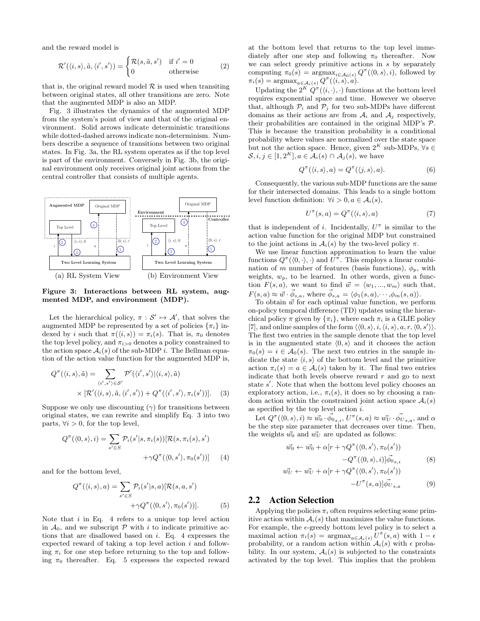and the reward model is

$$
\mathcal{R}'(\langle i, s \rangle, \tilde{a}, \langle i', s' \rangle) = \begin{cases} \mathcal{R}(s, \tilde{a}, s') & \text{if } i' = 0\\ 0 & \text{otherwise} \end{cases}
$$
 (2)

that is, the original reward model  $R$  is used when transiting between original states, all other transitions are zero. Note that the augmented MDP is also an MDP.

Fig. 3 illustrates the dynamics of the augmented MDP from the system's point of view and that of the original environment. Solid arrows indicate deterministic transitions while dotted-dashed arrows indicate non-determinism. Numbers describe a sequence of transitions between two original states. In Fig. 3a, the RL system operates as if the top level is part of the environment. Conversely in Fig. 3b, the original environment only receives original joint actions from the central controller that consists of multiple agents.



Figure 3: Interactions between RL system, augmented MDP, and environment (MDP).

Let the hierarchical policy,  $\pi : \mathcal{S}' \mapsto \mathcal{A}'$ , that solves the augmented MDP be represented by a set of policies  $\{\pi_i\}$  indexed by i such that  $\pi({\langle i, s \rangle}) = \pi_i(s)$ . That is,  $\pi_0$  denotes the top level policy, and  $\pi_{i>0}$  denotes a policy constrained to the action space  $A_i(s)$  of the sub-MDP *i*. The Bellman equation of the action value function for the augmented MDP is,

$$
Q^{\pi}(\langle i, s \rangle, \tilde{a}) = \sum_{\langle i', s' \rangle \in S'} \mathcal{P}'(\langle i', s' \rangle | \langle i, s \rangle, \tilde{a})
$$

$$
\times [\mathcal{R}'(\langle i, s \rangle, \tilde{a}, \langle i', s' \rangle) + Q^{\pi}(\langle i', s' \rangle, \pi_i(s'))]. \quad (3)
$$

Suppose we only use discounting  $(\gamma)$  for transitions between original states, we can rewrite and simplify Eq. 3 into two parts,  $\forall i > 0$ , for the top level,

$$
Q^{\pi}(\langle 0, s \rangle, i) = \sum_{s' \in S} \mathcal{P}_i(s'|s, \pi_i(s)) [\mathcal{R}(s, \pi_i(s), s')+\gamma Q^{\pi}(\langle 0, s' \rangle, \pi_0(s'))]
$$
(4)

and for the bottom level,

$$
Q^{\pi}(\langle i, s \rangle, a) = \sum_{s' \in S} \mathcal{P}_i(s'|s, a) [\mathcal{R}(s, a, s')+\gamma Q^{\pi}(\langle 0, s' \rangle, \pi_0(s'))].
$$
 (5)

Note that  $i$  in Eq. 4 refers to a unique top level action in  $\mathcal{A}_0$ , and we subscript  $\mathcal P$  with i to indicate primitive actions that are disallowed based on i. Eq. 4 expresses the expected reward of taking a top level action  $i$  and following  $\pi_i$  for one step before returning to the top and following  $\pi_0$  thereafter. Eq. 5 expresses the expected reward at the bottom level that returns to the top level immediately after one step and following  $\pi_0$  thereafter. Now we can select greedy primitive actions in  $s$  by separately computing  $\pi_0(s) = \operatorname{argmax}_{i \in A_0(s)} Q^{\pi}(\langle 0, s \rangle, i)$ , followed by  $\pi_i(s) = \text{argmax}_{a \in \mathcal{A}_i(s)} Q^{\pi}(\langle i, s \rangle, a).$ 

Updating the  $2^K Q^{\pi}(\langle i, \cdot \rangle, \cdot)$  functions at the bottom level requires exponential space and time. However we observe that, although  $\mathcal{P}_i$  and  $\mathcal{P}_j$  for two sub-MDPs have different domains as their actions are from  $A_i$  and  $A_j$  respectively, their probabilities are contained in the original MDP's P. This is because the transition probability is a conditional probability where values are normalized over the state space but not the action space. Hence, given  $2^K$  sub-MDPs,  $\forall s \in$  $\mathcal{S}, i, j \in [1, 2^K], a \in \mathcal{A}_i(s) \cap \mathcal{A}_j(s)$ , we have

$$
Q^{\pi}(\langle i, s \rangle, a) = Q^{\pi}(\langle j, s \rangle, a). \tag{6}
$$

Consequently, the various sub-MDP functions are the same for their intersected domains. This leads to a single bottom level function definition:  $\forall i > 0, a \in \mathcal{A}_i(s)$ ,

$$
U^{\pi}(s, a) = Q^{\pi}(\langle i, s \rangle, a)
$$
 (7)

that is independent of i. Incidentally,  $U^{\pi}$  is similar to the action value function for the original MDP but constrained to the joint actions in  $A_i(s)$  by the two-level policy  $\pi$ .

We use linear function approximation to learn the value functions  $Q^{\pi}(\langle 0, \cdot \rangle, \cdot)$  and  $U^{\pi}$ . This employs a linear combination of m number of features (basis functions),  $\phi_p$ , with weights,  $w_p$ , to be learned. In other words, given a function  $F(s, a)$ , we want to find  $\vec{w} = \langle w_1, ..., w_m \rangle$  such that,  $F(s, a) \approx \vec{w} \cdot \vec{\phi}_{s,a}$ , where  $\vec{\phi}_{s,a} = \langle \phi_1(s, a), \cdots, \phi_m(s, a) \rangle$ .

To obtain  $\vec{w}$  for each optimal value function, we perform on-policy temporal difference (TD) updates using the hierarchical policy  $\pi$  given by  $\{\pi_i\}$ , where each  $\pi_i$  is a GLIE policy [7], and online samples of the form  $\langle 0, s \rangle, i, \langle i, s \rangle, a, r, \langle 0, s' \rangle$ . The first two entries in the sample denote that the top level is in the augmented state  $\langle 0, s \rangle$  and it chooses the action  $\pi_0(s) = i \in \mathcal{A}_0(s)$ . The next two entries in the sample indicate the state  $\langle i, s \rangle$  of the bottom level and the primitive action  $\pi_i(s) = a \in \mathcal{A}_i(s)$  taken by it. The final two entries indicate that both levels observe reward  $r$  and go to next state  $s'$ . Note that when the bottom level policy chooses an exploratory action, i.e.,  $\pi_i(s)$ , it does so by choosing a random action within the constrained joint action space  $A_i(s)$ as specified by the top level action  $i$ .

Let  $Q^{\pi}(\langle 0,s\rangle, i) \approx \vec{w_0} \cdot \vec{\phi_0}_{s,i}, \, U^{\pi}(s,a) \approx \vec{w_U} \cdot \vec{\phi_U}_{s,a},$  and  $\alpha$ be the step size parameter that decreases over time. Then, the weights  $\vec{w_0}$  and  $\vec{w_U}$  are updated as follows:

$$
\vec{w_0} \leftarrow \vec{w_0} + \alpha [r + \gamma Q^\pi(\langle 0, s' \rangle, \pi_0(s')) \n- Q^\pi(\langle 0, s \rangle, i)] \vec{\phi}_{0_{s,i}} \tag{8}
$$
\n
$$
\vec{w_U} \leftarrow \vec{w_U} + \alpha [r + \gamma Q^\pi(\langle 0, s' \rangle, \pi_0(s'))
$$

$$
-U^{\pi}(s,a)]\vec{\phi_{U}}_{s,a} \tag{9}
$$

## 2.2 Action Selection

Applying the policies  $\pi_i$  often requires selecting some primitive action within  $A_i(s)$  that maximizes the value functions. For example, the  $\epsilon$ -greedy bottom level policy is to select a maximal action  $\pi_i(s) = \operatorname{argmax}_{a \in \mathcal{A}_i(s)} U^{\pi}(s, a)$  with  $1 - \epsilon$ probability, or a random action within  $A_i(s)$  with  $\epsilon$  probability. In our system,  $A_i(s)$  is subjected to the constraints activated by the top level. This implies that the problem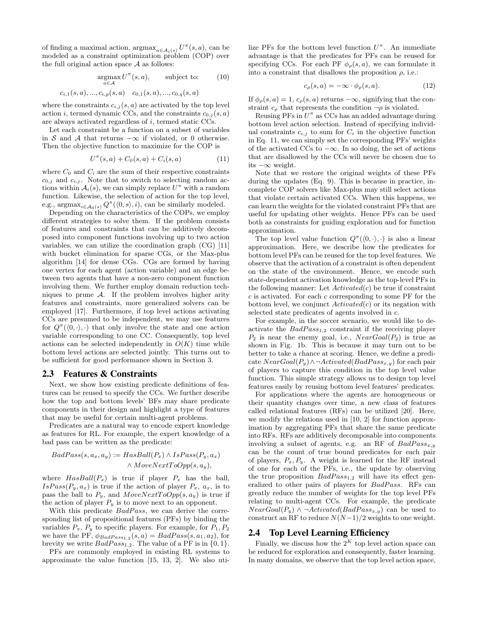of finding a maximal action,  $\operatorname{argmax}_{a \in \mathcal{A}_i(s)} U^{\pi}(s, a)$ , can be modeled as a constraint optimization problem (COP) over the full original action space  $A$  as follows:

$$
\underset{a \in \mathcal{A}}{\operatorname{argmax}} U^{\pi}(s, a), \qquad \text{subject to:} \qquad (10)
$$

$$
c_{i,1}(s, a), \dots, c_{i,p}(s, a) \quad c_{0,1}(s, a), \dots, c_{0,q}(s, a)
$$

where the constraints  $c_{i,j}(s, a)$  are activated by the top level action i, termed dynamic CCs, and the constraints  $c_{0,i}(s, a)$ are always activated regardless of i, termed static CCs.

Let each constraint be a function on a subset of variables in S and A that returns  $-\infty$  if violated, or 0 otherwise. Then the objective function to maximize for the COP is

$$
U^{\pi}(s, a) + C_0(s, a) + C_i(s, a)
$$
\n(11)

where  $C_0$  and  $C_i$  are the sum of their respective constraints  $c_{0,j}$  and  $c_{i,j}$ . Note that to switch to selecting random actions within  $A_i(s)$ , we can simply replace  $U^{\pi}$  with a random function. Likewise, the selection of action for the top level, e.g.,  $\operatorname{argmax}_{i \in A_0(s)} Q^{\pi}(\langle 0, s \rangle, i)$ , can be similarly modeled.

Depending on the characteristics of the COPs, we employ different strategies to solve them. If the problem consists of features and constraints that can be additively decomposed into component functions involving up to two action variables, we can utilize the coordination graph (CG) [11] with bucket elimination for sparse CGs, or the Max-plus algorithm [14] for dense CGs. CGs are formed by having one vertex for each agent (action variable) and an edge between two agents that have a non-zero component function involving them. We further employ domain reduction techniques to prune  $A$ . If the problem involves higher arity features and constraints, more generalized solvers can be employed [17]. Furthermore, if top level actions activating CCs are presumed to be independent, we may use features for  $Q^{\pi}(\langle 0, \cdot \rangle, \cdot)$  that only involve the state and one action variable corresponding to one CC. Consequently, top level actions can be selected independently in  $O(K)$  time while bottom level actions are selected jointly. This turns out to be sufficient for good performance shown in Section 3.

#### 2.3 Features & Constraints

Next, we show how existing predicate definitions of features can be reused to specify the CCs. We further describe how the top and bottom levels' BFs may share predicate components in their design and highlight a type of features that may be useful for certain multi-agent problems.

Predicates are a natural way to encode expert knowledge as features for RL. For example, the expert knowledge of a bad pass can be written as the predicate:

$$
BadPass(s, a_x, a_y) := HasBall(P_x) \land IsPass(P_y, a_x)
$$

$$
\land MoveNextToOpp(s, a_y),
$$

where  $HasBall(P_x)$  is true if player  $P_x$  has the ball,  $IsPass(P_y, a_x)$  is true if the action of player  $P_x, a_x$ , is to pass the ball to  $P_y$ , and  $MoveNextToOpp(s, a_y)$  is true if the action of player  $P_y$  is to move next to an opponent.

With this predicate *BadPass*, we can derive the corresponding list of propositional features (PFs) by binding the variables  $P_x$ ,  $P_y$  to specific players. For example, for  $P_1, P_2$ we have the PF,  $\phi_{BadPass_{1,2}}(s, a) = BadPass(s, a_1, a_2)$ , for brevity we write  $BadPass_{1,2}$ . The value of a PF is in  $\{0, 1\}$ .

PFs are commonly employed in existing RL systems to approximate the value function [15, 13, 2]. We also uti-

lize PFs for the bottom level function  $U^{\pi}$ . An immediate advantage is that the predicates for PFs can be reused for specifying CCs. For each PF  $\phi_{\rho}(s, a)$ , we can formulate it into a constraint that disallows the proposition  $\rho$ , i.e.:

$$
c_{\rho}(s, a) = -\infty \cdot \phi_{\rho}(s, a). \tag{12}
$$

If  $\phi_{\rho}(s, a) = 1$ ,  $c_{\rho}(s, a)$  returns  $-\infty$ , signifying that the constraint  $c_{\rho}$  that represents the condition  $\neg \rho$  is violated.

Reusing PFs in  $U^{\pi}$  as CCs has an added advantage during bottom level action selection. Instead of specifying individual constraints  $c_{i,j}$  to sum for  $C_i$  in the objective function in Eq. 11, we can simply set the corresponding PFs' weights of the activated CCs to  $-\infty$ . In so doing, the set of actions that are disallowed by the CCs will never be chosen due to its −∞ weight.

Note that we restore the original weights of these PFs during the updates (Eq. 9). This is because in practice, incomplete COP solvers like Max-plus may still select actions that violate certain activated CCs. When this happens, we can learn the weights for the violated constraint PFs that are useful for updating other weights. Hence PFs can be used both as constraints for guiding exploration and for function approximation.

The top level value function  $Q^{\pi}(\langle 0, \cdot \rangle, \cdot)$  is also a linear approximation. Here, we describe how the predicates for bottom level PFs can be reused for the top level features. We observe that the activation of a constraint is often dependent on the state of the environment. Hence, we encode such state-dependent activation knowledge as the top-level PFs in the following manner: Let  $Activede d(c)$  be true if constraint  $c$  is activated. For each  $c$  corresponding to some PF for the bottom level, we conjunct  $Activede(c)$  or its negation with selected state predicates of agents involved in c.

For example, in the soccer scenario, we would like to deactivate the  $BadPass_{1,2}$  constraint if the receiving player  $P_2$  is near the enemy goal, i.e.,  $NearGoal(P_2)$  is true as shown in Fig. 1b. This is because it may turn out to be better to take a chance at scoring. Hence, we define a predicate  $NearGoal(P_y) \land \neg Activeated(BadPass_{x,y})$  for each pair of players to capture this condition in the top level value function. This simple strategy allows us to design top level features easily by reusing bottom level features' predicates.

For applications where the agents are homogeneous or their quantity changes over time, a new class of features called relational features (RFs) can be utilized [20]. Here, we modify the relations used in [10, 2] for function approximation by aggregating PFs that share the same predicate into RFs. RFs are additively decomposable into components involving a subset of agents, e.g. an RF of  $BadPass_{x,y}$ can be the count of true bound predicates for each pair of players,  $P_x, P_y$ . A weight is learned for the RF instead of one for each of the PFs, i.e., the update by observing the true proposition  $BadPass_{1,2}$  will have its effect generalized to other pairs of players for BadPass. RFs can greatly reduce the number of weights for the top level PFs relating to multi-agent CCs. For example, the predicate  $Near\breve{G}oal(P_y) \wedge \neg \breve{A}ctivated(BadPass_{x,y})$  can be used to construct an RF to reduce  $N(N-1)/2$  weights to one weight.

# 2.4 Top Level Learning Efficiency

Finally, we discuss how the  $2^K$  top level action space can be reduced for exploration and consequently, faster learning. In many domains, we observe that the top level action space,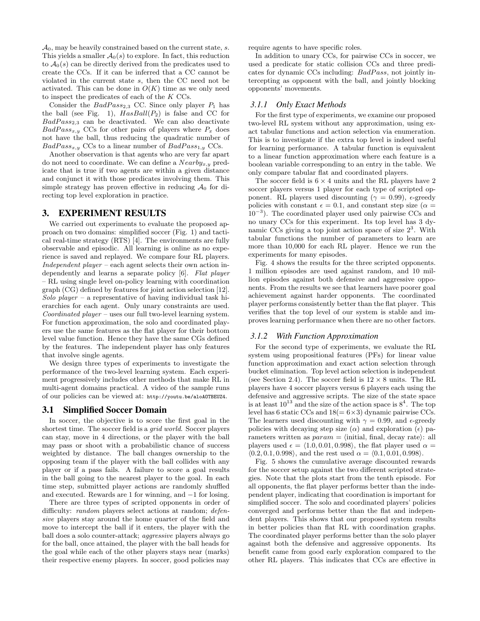$\mathcal{A}_0$ , may be heavily constrained based on the current state, s. This yields a smaller  $A_0(s)$  to explore. In fact, this reduction to  $A_0(s)$  can be directly derived from the predicates used to create the CCs. If it can be inferred that a CC cannot be violated in the current state s, then the CC need not be activated. This can be done in  $O(K)$  time as we only need to inspect the predicates of each of the K CCs.

Consider the  $BadPass_{2,3}$  CC. Since only player  $P_1$  has the ball (see Fig. 1),  $HasBall(P_2)$  is false and CC for  $BadPass_{2,3}$  can be deactivated. We can also deactivate  $BadPass_{x,y}$  CCs for other pairs of players where  $P_x$  does not have the ball, thus reducing the quadratic number of  $BadPass_{x,y}$  CCs to a linear number of  $BadPass_{1,y}$  CCs.

Another observation is that agents who are very far apart do not need to coordinate. We can define a  $Nearby_{x,y}$  predicate that is true if two agents are within a given distance and conjunct it with those predicates involving them. This simple strategy has proven effective in reducing  $A_0$  for directing top level exploration in practice.

## 3. EXPERIMENT RESULTS

We carried out experiments to evaluate the proposed approach on two domains: simplified soccer (Fig. 1) and tactical real-time strategy (RTS) [4]. The environments are fully observable and episodic. All learning is online as no experience is saved and replayed. We compare four RL players. Independent player – each agent selects their own action independently and learns a separate policy [6]. Flat player – RL using single level on-policy learning with coordination graph (CG) defined by features for joint action selection [12]. Solo player – a representative of having individual task hierarchies for each agent. Only unary constraints are used. Coordinated player – uses our full two-level learning system. For function approximation, the solo and coordinated players use the same features as the flat player for their bottom level value function. Hence they have the same CGs defined by the features. The independent player has only features that involve single agents.

We design three types of experiments to investigate the performance of the two-level learning system. Each experiment progressively includes other methods that make RL in multi-agent domains practical. A video of the sample runs of our policies can be viewed at: http://youtu.be/aloAOTBEUZ4.

#### 3.1 Simplified Soccer Domain

In soccer, the objective is to score the first goal in the shortest time. The soccer field is a *grid world*. Soccer players can stay, move in 4 directions, or the player with the ball may pass or shoot with a probabilistic chance of success weighted by distance. The ball changes ownership to the opposing team if the player with the ball collides with any player or if a pass fails. A failure to score a goal results in the ball going to the nearest player to the goal. In each time step, submitted player actions are randomly shuffled and executed. Rewards are 1 for winning, and −1 for losing.

There are three types of scripted opponents in order of difficulty: *random* players select actions at random; *defen*sive players stay around the home quarter of the field and move to intercept the ball if it enters, the player with the ball does a solo counter-attack; aggressive players always go for the ball, once attained, the player with the ball heads for the goal while each of the other players stays near (marks) their respective enemy players. In soccer, good policies may require agents to have specific roles.

In addition to unary CCs, for pairwise CCs in soccer, we used a predicate for static collision CCs and three predicates for dynamic CCs including: BadPass, not jointly intercepting as opponent with the ball, and jointly blocking opponents' movements.

#### *3.1.1 Only Exact Methods*

For the first type of experiments, we examine our proposed two-level RL system without any approximation, using exact tabular functions and action selection via enumeration. This is to investigate if the extra top level is indeed useful for learning performance. A tabular function is equivalent to a linear function approximation where each feature is a boolean variable corresponding to an entry in the table. We only compare tabular flat and coordinated players.

The soccer field is  $6 \times 4$  units and the RL players have 2 soccer players versus 1 player for each type of scripted opponent. RL players used discounting ( $\gamma = 0.99$ ),  $\epsilon$ -greedy policies with constant  $\epsilon = 0.1$ , and constant step size  $(\alpha =$ 10<sup>−</sup><sup>3</sup> ). The coordinated player used only pairwise CCs and no unary CCs for this experiment. Its top level has 3 dynamic CCs giving a top joint action space of size  $2<sup>3</sup>$ . With tabular functions the number of parameters to learn are more than 10,000 for each RL player. Hence we run the experiments for many episodes.

Fig. 4 shows the results for the three scripted opponents. 1 million episodes are used against random, and 10 million episodes against both defensive and aggressive opponents. From the results we see that learners have poorer goal achievement against harder opponents. The coordinated player performs consistently better than the flat player. This verifies that the top level of our system is stable and improves learning performance when there are no other factors.

#### *3.1.2 With Function Approximation*

For the second type of experiments, we evaluate the RL system using propositional features (PFs) for linear value function approximation and exact action selection through bucket elimination. Top level action selection is independent (see Section 2.4). The soccer field is  $12 \times 8$  units. The RL players have 4 soccer players versus 6 players each using the defensive and aggressive scripts. The size of the state space is at least  $10^{13}$  and the size of the action space is  $8^4$ . The top level has 6 static CCs and  $18(= 6 \times 3)$  dynamic pairwise CCs. The learners used discounting with  $\gamma = 0.99$ , and  $\epsilon$ -greedy policies with decaying step size  $(\alpha)$  and exploration  $(\epsilon)$  parameters written as  $param = \{initial, final, decay rate\}$ : all players used  $\epsilon = \langle 1.0, 0.01, 0.998 \rangle$ , the flat player used  $\alpha =$  $(0.2, 0.1, 0.998)$ , and the rest used  $\alpha = (0.1, 0.01, 0.998)$ .

Fig. 5 shows the cumulative average discounted rewards for the soccer setup against the two different scripted strategies. Note that the plots start from the tenth episode. For all opponents, the flat player performs better than the independent player, indicating that coordination is important for simplified soccer. The solo and coordinated players' policies converged and performs better than the flat and independent players. This shows that our proposed system results in better policies than flat RL with coordination graphs. The coordinated player performs better than the solo player against both the defensive and aggressive opponents. Its benefit came from good early exploration compared to the other RL players. This indicates that CCs are effective in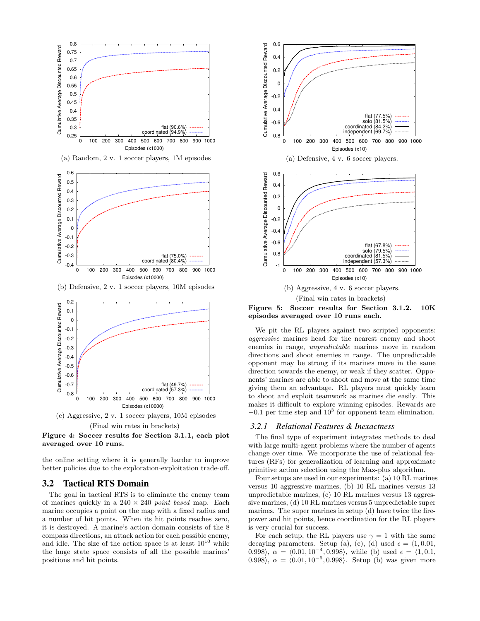



the online setting where it is generally harder to improve better policies due to the exploration-exploitation trade-off.

#### 3.2 Tactical RTS Domain

The goal in tactical RTS is to eliminate the enemy team of marines quickly in a  $240 \times 240$  *point based* map. Each marine occupies a point on the map with a fixed radius and a number of hit points. When its hit points reaches zero, it is destroyed. A marine's action domain consists of the 8 compass directions, an attack action for each possible enemy, and idle. The size of the action space is at least  $10^{10}$  while the huge state space consists of all the possible marines' positions and hit points.



episodes averaged over 10 runs each.

We pit the RL players against two scripted opponents: aggressive marines head for the nearest enemy and shoot enemies in range, unpredictable marines move in random directions and shoot enemies in range. The unpredictable opponent may be strong if its marines move in the same direction towards the enemy, or weak if they scatter. Opponents' marines are able to shoot and move at the same time giving them an advantage. RL players must quickly learn to shoot and exploit teamwork as marines die easily. This makes it difficult to explore winning episodes. Rewards are  $-0.1$  per time step and  $10<sup>3</sup>$  for opponent team elimination.

#### *3.2.1 Relational Features & Inexactness*

The final type of experiment integrates methods to deal with large multi-agent problems where the number of agents change over time. We incorporate the use of relational features (RFs) for generalization of learning and approximate primitive action selection using the Max-plus algorithm.

Four setups are used in our experiments: (a) 10 RL marines versus 10 aggressive marines, (b) 10 RL marines versus 13 unpredictable marines, (c) 10 RL marines versus 13 aggressive marines, (d) 10 RL marines versus 5 unpredictable super marines. The super marines in setup (d) have twice the firepower and hit points, hence coordination for the RL players is very crucial for success.

For each setup, the RL players use  $\gamma = 1$  with the same decaying parameters. Setup (a), (c), (d) used  $\epsilon = \langle 1, 0.01, \rangle$ 0.998),  $\alpha = \langle 0.01, 10^{-4}, 0.998 \rangle$ , while (b) used  $\epsilon = \langle 1, 0.1, \rangle$ 0.998),  $\alpha = \langle 0.01, 10^{-6}, 0.998 \rangle$ . Setup (b) was given more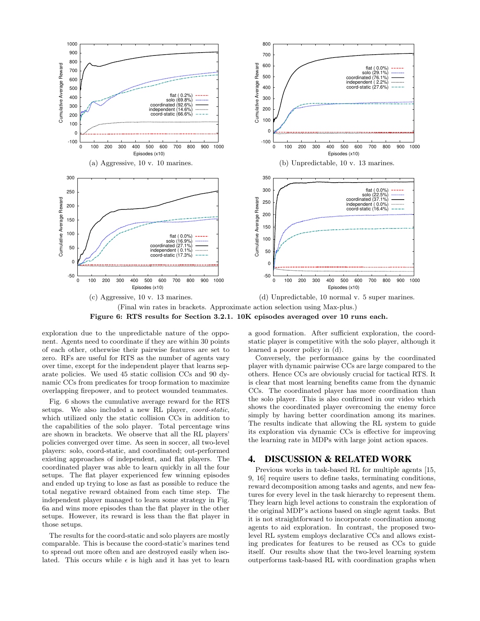

Figure 6: RTS results for Section 3.2.1. 10K episodes averaged over 10 runs each.

exploration due to the unpredictable nature of the opponent. Agents need to coordinate if they are within 30 points of each other, otherwise their pairwise features are set to zero. RFs are useful for RTS as the number of agents vary over time, except for the independent player that learns separate policies. We used 45 static collision CCs and 90 dynamic CCs from predicates for troop formation to maximize overlapping firepower, and to protect wounded teammates.

Fig. 6 shows the cumulative average reward for the RTS setups. We also included a new RL player, coord-static, which utilized only the static collision CCs in addition to the capabilities of the solo player. Total percentage wins are shown in brackets. We observe that all the RL players' policies converged over time. As seen in soccer, all two-level players: solo, coord-static, and coordinated; out-performed existing approaches of independent, and flat players. The coordinated player was able to learn quickly in all the four setups. The flat player experienced few winning episodes and ended up trying to lose as fast as possible to reduce the total negative reward obtained from each time step. The independent player managed to learn some strategy in Fig. 6a and wins more episodes than the flat player in the other setups. However, its reward is less than the flat player in those setups.

The results for the coord-static and solo players are mostly comparable. This is because the coord-static's marines tend to spread out more often and are destroyed easily when isolated. This occurs while  $\epsilon$  is high and it has yet to learn a good formation. After sufficient exploration, the coordstatic player is competitive with the solo player, although it learned a poorer policy in (d).

Conversely, the performance gains by the coordinated player with dynamic pairwise CCs are large compared to the others. Hence CCs are obviously crucial for tactical RTS. It is clear that most learning benefits came from the dynamic CCs. The coordinated player has more coordination than the solo player. This is also confirmed in our video which shows the coordinated player overcoming the enemy force simply by having better coordination among its marines. The results indicate that allowing the RL system to guide its exploration via dynamic CCs is effective for improving the learning rate in MDPs with large joint action spaces.

# 4. DISCUSSION & RELATED WORK

Previous works in task-based RL for multiple agents [15, 9, 16] require users to define tasks, terminating conditions, reward decomposition among tasks and agents, and new features for every level in the task hierarchy to represent them. They learn high level actions to constrain the exploration of the original MDP's actions based on single agent tasks. But it is not straightforward to incorporate coordination among agents to aid exploration. In contrast, the proposed twolevel RL system employs declarative CCs and allows existing predicates for features to be reused as CCs to guide itself. Our results show that the two-level learning system outperforms task-based RL with coordination graphs when